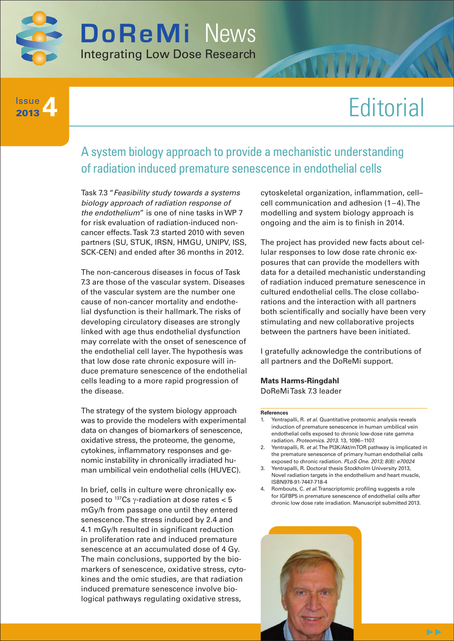

## **4** Issue 2013

# **Editorial**

# A system biology approach to provide a mechanistic understanding of radiation induced premature senescence in endothelial cells

Task 7.3 "*Feasibility study towards a systems biology approach of radiation response of the endothelium*" is one of nine tasks in WP 7 for risk evaluation of radiation-induced noncancer effects. Task 7.3 started 2010 with seven partners (SU, STUK, IRSN, HMGU, UNIPV, ISS, SCK-CEN) and ended after 36 months in 2012.

The non-cancerous diseases in focus of Task 7.3 are those of the vascular system. Diseases of the vascular system are the number one cause of non-cancer mortality and endothelial dysfunction is their hallmark. The risks of developing circulatory diseases are strongly linked with age thus endothelial dysfunction may correlate with the onset of senescence of the endothelial cell layer. The hypothesis was that low dose rate chronic exposure will induce premature senescence of the endothelial cells leading to a more rapid progression of the disease.

The strategy of the system biology approach was to provide the modelers with experimental data on changes of biomarkers of senescence, oxidative stress, the proteome, the genome, cytokines, inflammatory responses and genomic instability in chronically irradiated human umbilical vein endothelial cells (HUVEC).

In brief, cells in culture were chronically exposed to 137Cs γ-radiation at dose rates < 5 mGy/h from passage one until they entered senescence. The stress induced by 2.4 and 4.1 mGy/h resulted in significant reduction in proliferation rate and induced premature senescence at an accumulated dose of 4 Gy. The main conclusions, supported by the biomarkers of senescence, oxidative stress, cytokines and the omic studies, are that radiation induced premature senescence involve biological pathways regulating oxidative stress,

cytoskeletal organization, inflammation, cell– cell communication and adhesion (1–4). The modelling and system biology approach is ongoing and the aim is to finish in 2014.

The project has provided new facts about cellular responses to low dose rate chronic exposures that can provide the modellers with data for a detailed mechanistic understanding of radiation induced premature senescence in cultured endothelial cells. The close collaborations and the interaction with all partners both scientifically and socially have been very stimulating and new collaborative projects between the partners have been initiated.

I gratefully acknowledge the contributions of all partners and the DoReMi support.

**Mats Harms-Ringdahl** DoReMi Task 7.3 leader

#### **References**

- Yentrapalli, R. *et al*. Quantitative proteomic analysis reveals induction of premature senescence in human umbilical vein endothelial cells exposed to chronic low-dose rate gamma radiation. *Proteomics*. *2013*. 13, 1096–1107.
- 2. Yentrapalli, R. *et al*. The PI3K/Akt/mTOR pathway is implicated in the premature senescence of primary human endothelial cells exposed to chronic radiation. *PLoS One*. *2013; 8(8): e70024*
- 3. Yentrapalli, R. Doctoral thesis Stockholm University 2013, Novel radiation targets in the endothelium and heart muscle, ISBN978-91-7447-718-4
- 4. Rombouts, C. *et al*. Transcriptomic profiling suggests a role for IGFBP5 in premature senescence of endothelial cells after chronic low dose rate irradiation. Manuscript submitted 2013.